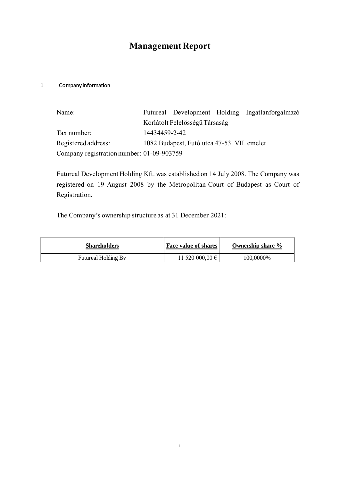# **Management Report**

#### 1 Company information

| Name:                                     |                                             |                                |  | Futureal Development Holding Ingatlanforgalmazó |
|-------------------------------------------|---------------------------------------------|--------------------------------|--|-------------------------------------------------|
|                                           |                                             | Korlátolt Felelősségű Társaság |  |                                                 |
| Tax number:                               | 14434459-2-42                               |                                |  |                                                 |
| Registered address:                       | 1082 Budapest, Futó utca 47-53. VII. emelet |                                |  |                                                 |
| Company registration number: 01-09-903759 |                                             |                                |  |                                                 |

Futureal Development Holding Kft. was established on 14 July 2008. The Company was registered on 19 August 2008 by the Metropolitan Court of Budapest as Court of Registration.

The Company's ownership structure as at 31 December 2021:

| <b>Shareholders</b> | Face value of shares     | Ownership share % |
|---------------------|--------------------------|-------------------|
| Futureal Holding By | 11 520 000,00 $\epsilon$ | 100,0000%         |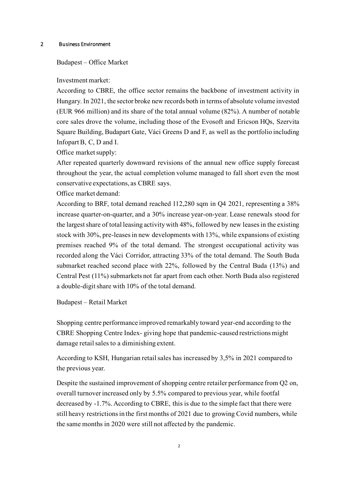#### 2 Business Environment

#### Budapest – Office Market

Investment market:

According to CBRE, the office sector remains the backbone of investment activity in Hungary. In 2021, the sector broke new records both in terms of absolute volume invested (EUR 966 million) and its share of the total annual volume (82%). A number of notable core sales drove the volume, including those of the Evosoft and Ericson HQs, Szervita Square Building, Budapart Gate, Váci Greens D and F, as well as the portfolio including Infopart B, C, D and I.

Office market supply:

After repeated quarterly downward revisions of the annual new office supply forecast throughout the year, the actual completion volume managed to fall short even the most conservative expectations, as CBRE says.

Office market demand:

According to BRF, total demand reached 112,280 sqm in Q4 2021, representing a 38% increase quarter-on-quarter, and a 30% increase year-on-year. Lease renewals stood for the largest share of total leasing activity with 48%, followed by new leases in the existing stock with 30%, pre-leases in new developments with 13%, while expansions of existing premises reached 9% of the total demand. The strongest occupational activity was recorded along the Váci Corridor, attracting 33% of the total demand. The South Buda submarket reached second place with 22%, followed by the Central Buda (13%) and Central Pest (11%) submarkets not far apart from each other. North Buda also registered a double-digit share with 10% of the total demand.

Budapest – Retail Market

Shopping centre performance improved remarkably toward year-end according to the CBRE Shopping Centre Index- giving hope that pandemic-caused restrictions might damage retail sales to a diminishing extent.

According to KSH, Hungarian retail sales has increased by 3,5% in 2021 compared to the previous year.

Despite the sustained improvement of shopping centre retailer performance from Q2 on, overall turnover increased only by 5.5% compared to previous year, while footfal decreased by -1.7%. According to CBRE, this is due to the simple fact that there were still heavy restrictions in the first months of 2021 due to growing Covid numbers, while the same months in 2020 were still not affected by the pandemic.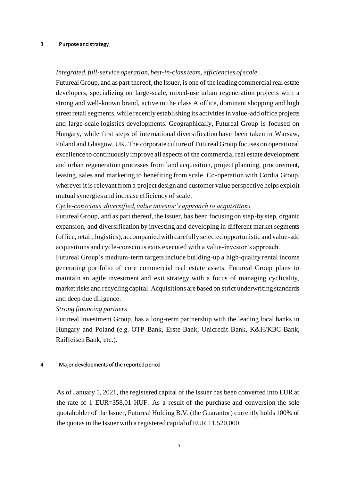#### 3 Purpose and strategy

## *Integrated, full-service operation, best-in-class team, efficiencies of scale*

Futureal Group, and as part thereof, the Issuer, is one of the leading commercial real estate developers, specializing on large-scale, mixed-use urban regeneration projects with a strong and well-known brand, active in the class A office, dominant shopping and high street retail segments, while recently establishing its activities in value-add office projects and large-scale logistics developments. Geographically, Futureal Group is focused on Hungary, while first steps of international diversification have been taken in Warsaw, Poland and Glasgow, UK. The corporate culture of Futureal Group focuses on operational excellence to continuously improve all aspects of the commercial real estate development and urban regeneration processes from land acquisition, project planning, procurement, leasing, sales and marketing to benefiting from scale. Co-operation with Cordia Group, wherever it is relevant from a project design and customer value perspective helps exploit mutual synergies and increase efficiency of scale.

## *Cycle-conscious, diversified, value investor's approach to acquisitions*

Futureal Group, and as part thereof, the Issuer, has been focusing on step-by step, organic expansion, and diversification by investing and developing in different market segments (office, retail, logistics), accompanied with carefully selected opportunistic and value-add acquisitions and cycle-conscious exits executed with a value-investor's approach.

Futureal Group's medium-term targets include building-up a high-quality rental income generating portfolio of core commercial real estate assets. Futureal Group plans to maintain an agile investment and exit strategy with a focus of managing cyclicality, market risks and recycling capital. Acquisitions are based on strict underwriting standards and deep due diligence.

#### *Strong financing partners*

Futureal Investment Group, has a long-term partnership with the leading local banks in Hungary and Poland (e.g. OTP Bank, Erste Bank, Unicredit Bank, K&H/KBC Bank, Raiffeisen Bank, etc.).

#### 4 Major developments of the reported period

As of January 1, 2021, the registered capital of the Issuer has been converted into EUR at the rate of 1 EUR=358,01 HUF. As a result of the purchase and conversion the sole quotaholder of the Issuer, Futureal Holding B.V. (the Guarantor) currently holds 100% of the quotas in the Issuer with a registered capital of EUR 11,520,000.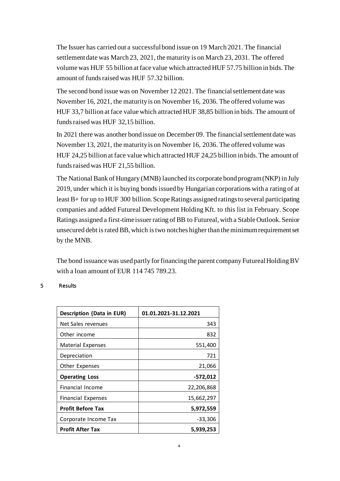The Issuer has carried out a successful bond issue on 19 March 2021. The financial settlement date was March 23, 2021, the maturity is on March 23, 2031. The offered volume was HUF 55 billion at face value which attracted HUF 57.75 billion in bids. The amount of funds raised was HUF 57.32 billion.

The second bond issue was on November 12 2021. The financial settlement date was November 16, 2021, the maturity is on November 16, 2036. The offered volume was HUF 33,7 billion at face value which attracted HUF 38,85 billion in bids. The amount of funds raised was HUF 32,15 billion.

In 2021 there was another bond issue on December 09. The financial settlement date was November 13, 2021, the maturity is on November 16, 2036. The offered volume was HUF 24,25 billion at face value which attracted HUF 24,25 billion in bids. The amount of funds raised was HUF 21,55 billion.

The National Bank of Hungary (MNB) launched its corporate bond program (NKP) in July 2019, under which it is buying bonds issued by Hungarian corporations with a rating of at least B+ for up to HUF 300 billion. Scope Ratings assigned ratings to several participating companies and added Futureal Development Holding Kft. to this list in February. Scope Ratings assigned a first-time issuer rating of BB to Futureal, with a Stable Outlook. Senior unsecured debt is rated BB, which is two notches higher than the minimum requirement set by the MNB.

The bond issuance was used partly for financing the parent company Futureal Holding BV with a loan amount of EUR 114 745 789.23.

#### 5 Results

| <b>Description (Data in EUR)</b> | 01.01.2021-31.12.2021 |
|----------------------------------|-----------------------|
| Net Sales revenues               | 343                   |
| Other income                     | 832                   |
| Material Expenses                | 551,400               |
| Depreciation                     | 721                   |
| Other Expenses                   | 21,066                |
| <b>Operating Loss</b>            | -572,012              |
| Financial Income                 | 22,206,868            |
| <b>Financial Expenses</b>        | 15,662,297            |
| <b>Profit Before Tax</b>         | 5,972,559             |
| Corporate Income Tax             | $-33,306$             |
| <b>Profit After Tax</b>          | 5,939,253             |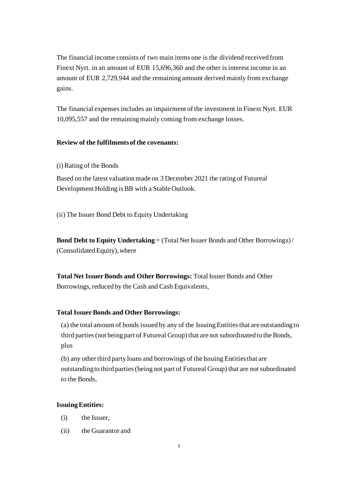The financial income consists of two main items one is the dividend received from Finext Nyrt. in an amount of EUR 15,696,360 and the other is interest income in an amount of EUR 2,729,944 and the remaining amount derived mainly from exchange gains.

The financial expenses includes an impairment of the investment in Finext Nyrt. EUR 10,095,557 and the remaining mainly coming from exchange losses.

## **Review of the fulfilments of the covenants:**

(i) Rating of the Bonds

Based on the latest valuation made on 3 December 2021 the rating of Futureal Development Holding is BB with a Stable Outlook.

(ii) The Issuer Bond Debt to Equity Undertaking

**Bond Debt to Equity Undertaking** = (Total Net Issuer Bonds and Other Borrowings)/ (Consolidated Equity), where

**Total Net Issuer Bonds and Other Borrowings:** Total Issuer Bonds and Other Borrowings, reduced by the Cash and Cash Equivalents,

## **Total Issuer Bonds and Other Borrowings:**

(a) the total amount of bonds issued by any of the Issuing Entities that are outstanding to third parties (not being part of Futureal Group) that are not subordinated to the Bonds, plus

(b) any other third party loans and borrowings of the Issuing Entities that are outstanding to third parties (being not part of Futureal Group) that are not subordinated to the Bonds,

#### **Issuing Entities:**

- (i) the Issuer,
- (ii) the Guarantor and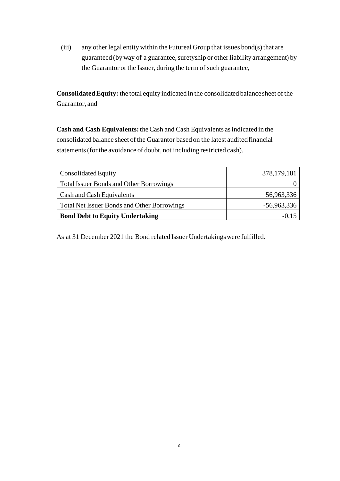(iii) any other legal entity within the Futureal Group that issues bond(s) that are guaranteed (by way of a guarantee, suretyship or other liability arrangement) by the Guarantor or the Issuer, during the term of such guarantee,

**Consolidated Equity:** the total equity indicated in the consolidated balance sheet of the Guarantor, and

**Cash and Cash Equivalents:**theCash and Cash Equivalents as indicated in the consolidated balance sheet of the Guarantor based on the latest audited financial statements (for the avoidance of doubt, not including restricted cash).

| Consolidated Equity                                | 378, 179, 181 |
|----------------------------------------------------|---------------|
| <b>Total Issuer Bonds and Other Borrowings</b>     |               |
| Cash and Cash Equivalents                          | 56,963,336    |
| <b>Total Net Issuer Bonds and Other Borrowings</b> | $-56,963,336$ |
| <b>Bond Debt to Equity Undertaking</b>             | $-()$ . $ $   |

As at 31 December 2021 the Bond related Issuer Undertakings were fulfilled.